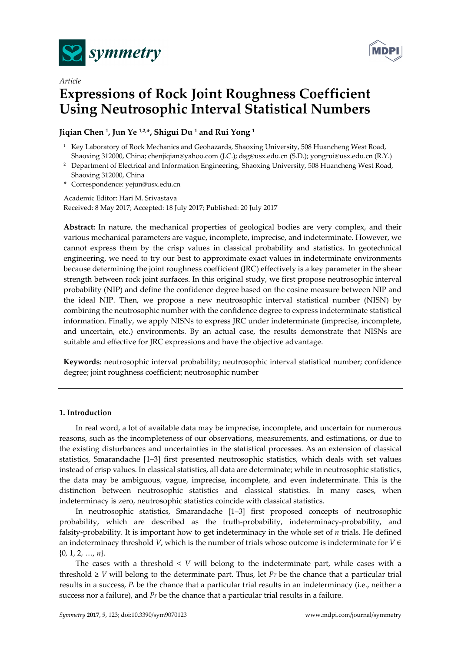



# *Article*  **Expressions of Rock Joint Roughness Coefficient Using Neutrosophic Interval Statistical Numbers**

## **Jiqian Chen 1, Jun Ye 1,2,\*, Shigui Du 1 and Rui Yong 1**

- <sup>1</sup> Key Laboratory of Rock Mechanics and Geohazards, Shaoxing University, 508 Huancheng West Road, Shaoxing 312000, China; chenjiqian@yahoo.com (J.C.); dsg@usx.edu.cn (S.D.); yongrui@usx.edu.cn (R.Y.)
- <sup>2</sup> Department of Electrical and Information Engineering, Shaoxing University, 508 Huancheng West Road, Shaoxing 312000, China
- **\*** Correspondence: yejun@usx.edu.cn

Academic Editor: Hari M. Srivastava Received: 8 May 2017; Accepted: 18 July 2017; Published: 20 July 2017

**Abstract:** In nature, the mechanical properties of geological bodies are very complex, and their various mechanical parameters are vague, incomplete, imprecise, and indeterminate. However, we cannot express them by the crisp values in classical probability and statistics. In geotechnical engineering, we need to try our best to approximate exact values in indeterminate environments because determining the joint roughness coefficient (JRC) effectively is a key parameter in the shear strength between rock joint surfaces. In this original study, we first propose neutrosophic interval probability (NIP) and define the confidence degree based on the cosine measure between NIP and the ideal NIP. Then, we propose a new neutrosophic interval statistical number (NISN) by combining the neutrosophic number with the confidence degree to express indeterminate statistical information. Finally, we apply NISNs to express JRC under indeterminate (imprecise, incomplete, and uncertain, etc.) environments. By an actual case, the results demonstrate that NISNs are suitable and effective for JRC expressions and have the objective advantage.

**Keywords:** neutrosophic interval probability; neutrosophic interval statistical number; confidence degree; joint roughness coefficient; neutrosophic number

## **1. Introduction**

In real word, a lot of available data may be imprecise, incomplete, and uncertain for numerous reasons, such as the incompleteness of our observations, measurements, and estimations, or due to the existing disturbances and uncertainties in the statistical processes. As an extension of classical statistics, Smarandache [1–3] first presented neutrosophic statistics, which deals with set values instead of crisp values. In classical statistics, all data are determinate; while in neutrosophic statistics, the data may be ambiguous, vague, imprecise, incomplete, and even indeterminate. This is the distinction between neutrosophic statistics and classical statistics. In many cases, when indeterminacy is zero, neutrosophic statistics coincide with classical statistics.

In neutrosophic statistics, Smarandache [1–3] first proposed concepts of neutrosophic probability, which are described as the truth-probability, indeterminacy-probability, and falsity-probability. It is important how to get indeterminacy in the whole set of *n* trials. He defined an indeterminacy threshold *V*, which is the number of trials whose outcome is indeterminate for  $V \in$ {0, 1, 2, …, *n*}.

The cases with a threshold < *V* will belong to the indeterminate part, while cases with a threshold  $\geq$  *V* will belong to the determinate part. Thus, let *P<sub>T</sub>* be the chance that a particular trial results in a success, *PI* be the chance that a particular trial results in an indeterminacy (i.e., neither a success nor a failure), and  $P_F$  be the chance that a particular trial results in a failure.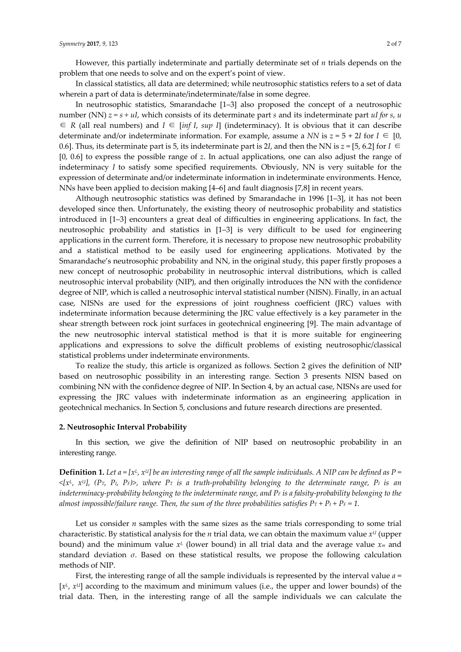However, this partially indeterminate and partially determinate set of *n* trials depends on the problem that one needs to solve and on the expert's point of view.

In classical statistics, all data are determined; while neutrosophic statistics refers to a set of data wherein a part of data is determinate/indeterminate/false in some degree.

In neutrosophic statistics, Smarandache [1–3] also proposed the concept of a neutrosophic number (NN) *z = s + uI*, which consists of its determinate part *s* and its indeterminate part *uI for s*, *u* ∈ *R* (all real numbers) and *I* ∈ [*inf I*, *sup I*] (indeterminacy). It is obvious that it can describe determinate and/or indeterminate information. For example, assume a *NN* is  $z = 5 + 2I$  for  $I \in [0, 1]$ 0.6]. Thus, its determinate part is 5, its indeterminate part is 2*I*, and then the NN is  $z = [5, 6.2]$  for  $I \in$ [0, 0.6] to express the possible range of *z*. In actual applications, one can also adjust the range of indeterminacy *I* to satisfy some specified requirements. Obviously, NN is very suitable for the expression of determinate and/or indeterminate information in indeterminate environments. Hence, NNs have been applied to decision making [4–6] and fault diagnosis [7,8] in recent years.

Although neutrosophic statistics was defined by Smarandache in 1996 [1–3], it has not been developed since then. Unfortunately, the existing theory of neutrosophic probability and statistics introduced in [1–3] encounters a great deal of difficulties in engineering applications. In fact, the neutrosophic probability and statistics in [1–3] is very difficult to be used for engineering applications in the current form. Therefore, it is necessary to propose new neutrosophic probability and a statistical method to be easily used for engineering applications. Motivated by the Smarandache's neutrosophic probability and NN, in the original study, this paper firstly proposes a new concept of neutrosophic probability in neutrosophic interval distributions, which is called neutrosophic interval probability (NIP), and then originally introduces the NN with the confidence degree of NIP, which is called a neutrosophic interval statistical number (NISN). Finally, in an actual case, NISNs are used for the expressions of joint roughness coefficient (JRC) values with indeterminate information because determining the JRC value effectively is a key parameter in the shear strength between rock joint surfaces in geotechnical engineering [9]. The main advantage of the new neutrosophic interval statistical method is that it is more suitable for engineering applications and expressions to solve the difficult problems of existing neutrosophic/classical statistical problems under indeterminate environments.

To realize the study, this article is organized as follows. Section 2 gives the definition of NIP based on neutrosophic possibility in an interesting range. Section 3 presents NISN based on combining NN with the confidence degree of NIP. In Section 4, by an actual case, NISNs are used for expressing the JRC values with indeterminate information as an engineering application in geotechnical mechanics. In Section 5, conclusions and future research directions are presented.

#### **2. Neutrosophic Interval Probability**

In this section, we give the definition of NIP based on neutrosophic probability in an interesting range.

**Definition 1.** Let  $a = [x^L, x^U]$  be an interesting range of all the sample individuals. A NIP can be defined as  $P =$  $\langle x^L, x^U \rangle$ , (P<sub>T</sub>, P<sub>I</sub>, P<sub>F</sub>)>, where P<sub>T</sub> is a truth-probability belonging to the determinate range, P<sub>I</sub> is an *indeterminacy-probability belonging to the indeterminate range, and P<sub>F</sub> is a falsity-probability belonging to the almost impossible/failure range. Then, the sum of the three probabilities satisfies*  $Pr + Pr + Pr = 1$ .

Let us consider  $n$  samples with the same sizes as the same trials corresponding to some trial characteristic. By statistical analysis for the *n* trial data, we can obtain the maximum value *xU* (upper bound) and the minimum value  $x^L$  (lower bound) in all trial data and the average value  $x_m$  and standard deviation *σ*. Based on these statistical results, we propose the following calculation methods of NIP.

First, the interesting range of all the sample individuals is represented by the interval value *a* = [*xL*, *xU*] according to the maximum and minimum values (i.e., the upper and lower bounds) of the trial data. Then, in the interesting range of all the sample individuals we can calculate the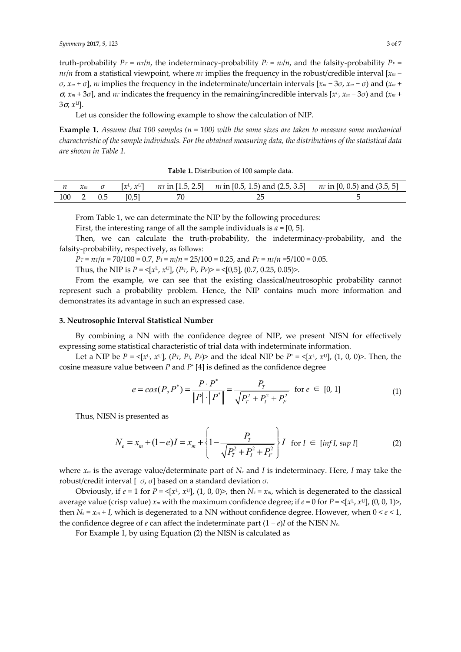truth-probability  $P_T = n_T/n$ , the indeterminacy-probability  $P_I = n_I/n$ , and the falsity-probability  $P_F =$ *n*<sup>*n*</sup>*n* from a statistical viewpoint, where *n*<sup>*n*</sup> implies the frequency in the robust/credible interval [*x*<sup>*m*</sup> − *σ*,  $x_m + σ$ ,  $n_l$  implies the frequency in the indeterminate/uncertain intervals  $[x_m - 3σ, x_m - σ)$  and  $(x_m +$ <sup>σ</sup>, *xm* + 3*σ*], and *nF* indicates the frequency in the remaining/incredible intervals [*xL, xm* − 3*σ*) and (*xm* + 3σ, *xU*].

Let us consider the following example to show the calculation of NIP.

**Example 1.** *Assume that 100 samples (n = 100) with the same sizes are taken to measure some mechanical characteristic of the sample individuals. For the obtained measuring data, the distributions of the statistical data are shown in Table 1.*

|  |           |       | <i>n</i> $x_m$ <i>σ</i> $[x^L, x^U]$ <i>n</i> in [1.5, 2.5] <i>n</i> in [0.5, 1.5) and (2.5, 3.5] <i>n</i> in [0, 0.5) and (3.5, 5] |  |
|--|-----------|-------|-------------------------------------------------------------------------------------------------------------------------------------|--|
|  | 100 2 0.5 | [0,5] |                                                                                                                                     |  |

From Table 1, we can determinate the NIP by the following procedures:

First, the interesting range of all the sample individuals is *a* = [0, 5].

Then, we can calculate the truth-probability, the indeterminacy-probability, and the falsity-probability, respectively, as follows:

 $P_T = n_T/n = 70/100 = 0.7$ ,  $P_I = n_I/n = 25/100 = 0.25$ , and  $P_F = n_F/n = 5/100 = 0.05$ .

Thus, the NIP is  $P = \langle x^L, x^U \rangle$ ,  $(P_T, P_I, P_F) > \langle 0.5 \rangle$ ,  $(0.7, 0.25, 0.05) >$ .

From the example, we can see that the existing classical/neutrosophic probability cannot represent such a probability problem. Hence, the NIP contains much more information and demonstrates its advantage in such an expressed case.

#### **3. Neutrosophic Interval Statistical Number**

By combining a NN with the confidence degree of NIP, we present NISN for effectively expressing some statistical characteristic of trial data with indeterminate information.

Let a NIP be  $P = \langle x^L, x^U \rangle$ ,  $\langle P_T, P_T, P_T \rangle$  and the ideal NIP be  $P^* = \langle x^L, x^U \rangle$ ,  $(1, 0, 0)$ >. Then, the cosine measure value between *P* and *P*\* [4] is defined as the confidence degree

$$
e = cos(P, P^*) = \frac{P \cdot P^*}{\|P\| \cdot \|P^*\|} = \frac{P_T}{\sqrt{P_T^2 + P_I^2 + P_F^2}} \text{ for } e \in [0, 1]
$$
 (1)

Thus, NISN is presented as

$$
N_e = x_m + (1 - e)I = x_m + \left\{ 1 - \frac{P_T}{\sqrt{P_T^2 + P_I^2 + P_F^2}} \right\} I \text{ for } I \in [\inf I, \sup I]
$$
 (2)

where *xm* is the average value/determinate part of *Ne* and *I* is indeterminacy. Here, *I* may take the robust/credit interval [−*σ*, *σ*] based on a standard deviation *σ*.

Obviously, if  $e = 1$  for  $P = \langle x^L, x^U \rangle$ , (1, 0, 0)>, then  $N_e = x_m$ , which is degenerated to the classical average value (crisp value)  $x_m$  with the maximum confidence degree; if  $e = 0$  for  $P = \langle x^L, x^U, (0, 0, 1) \rangle$ , then  $N_e = x_m + I$ , which is degenerated to a NN without confidence degree. However, when  $0 \leq e \leq 1$ , the confidence degree of *e* can affect the indeterminate part  $(1 - e)I$  of the NISN  $N_e$ .

For Example 1, by using Equation (2) the NISN is calculated as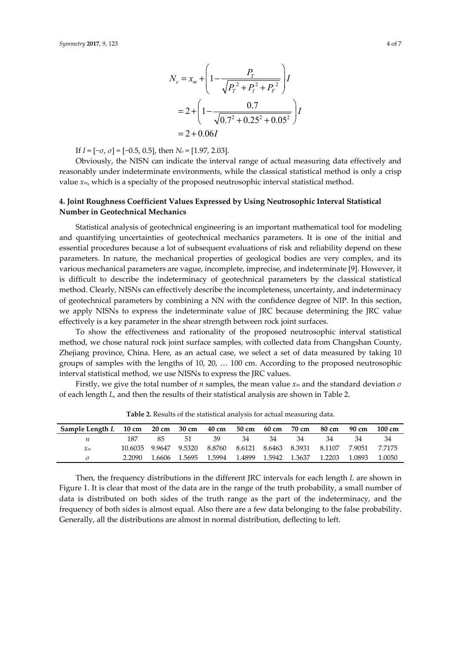$$
N_e = x_m + \left(1 - \frac{P_T}{\sqrt{P_T^2 + P_I^2 + P_F^2}}\right)I
$$
  
= 2 + \left(1 - \frac{0.7}{\sqrt{0.7^2 + 0.25^2 + 0.05^2}}\right)I  
= 2 + 0.06I

If *I* = [−*σ*, *σ*] = [−0.5, 0.5], then *Ne* = [1.97, 2.03].

Obviously, the NISN can indicate the interval range of actual measuring data effectively and reasonably under indeterminate environments, while the classical statistical method is only a crisp value *xm*, which is a specialty of the proposed neutrosophic interval statistical method.

## **4. Joint Roughness Coefficient Values Expressed by Using Neutrosophic Interval Statistical Number in Geotechnical Mechanics**

Statistical analysis of geotechnical engineering is an important mathematical tool for modeling and quantifying uncertainties of geotechnical mechanics parameters. It is one of the initial and essential procedures because a lot of subsequent evaluations of risk and reliability depend on these parameters. In nature, the mechanical properties of geological bodies are very complex, and its various mechanical parameters are vague, incomplete, imprecise, and indeterminate [9]. However, it is difficult to describe the indeterminacy of geotechnical parameters by the classical statistical method. Clearly, NISNs can effectively describe the incompleteness, uncertainty, and indeterminacy of geotechnical parameters by combining a NN with the confidence degree of NIP. In this section, we apply NISNs to express the indeterminate value of JRC because determining the JRC value effectively is a key parameter in the shear strength between rock joint surfaces.

To show the effectiveness and rationality of the proposed neutrosophic interval statistical method, we chose natural rock joint surface samples, with collected data from Changshan County, Zhejiang province, China. Here, as an actual case, we select a set of data measured by taking 10 groups of samples with the lengths of 10, 20, … 100 cm. According to the proposed neutrosophic interval statistical method, we use NISNs to express the JRC values.

Firstly, we give the total number of *n* samples, the mean value *xm* and the standard deviation *σ* of each length *L*, and then the results of their statistical analysis are shown in Table 2.

| Sample Length L 10 cm 20 cm 30 cm 40 cm |                       |        |        |        | 50 cm 60 cm          |    | 70 cm | 80 cm  | 90 cm                                     | 100 cm |
|-----------------------------------------|-----------------------|--------|--------|--------|----------------------|----|-------|--------|-------------------------------------------|--------|
| n                                       | 187                   | 85.    | - 51 - | 39     | 34                   | 34 | -34   | 34     | -34                                       | -34    |
| $\chi_m$                                | 10.6035 9.9647 9.5320 |        |        | 8.8760 |                      |    |       |        | 8.6121 8.6463 8.3931 8.1107 7.9051 7.7175 |        |
|                                         | 2.2090                | 1.6606 | 1.5695 | 1.5994 | 1.4899 1.5942 1.3637 |    |       | 1.2203 | 1.0893                                    | 1.0050 |

**Table 2.** Results of the statistical analysis for actual measuring data.

Then, the frequency distributions in the different JRC intervals for each length *L* are shown in Figure 1. It is clear that most of the data are in the range of the truth probability, a small number of data is distributed on both sides of the truth range as the part of the indeterminacy, and the frequency of both sides is almost equal. Also there are a few data belonging to the false probability. Generally, all the distributions are almost in normal distribution, deflecting to left.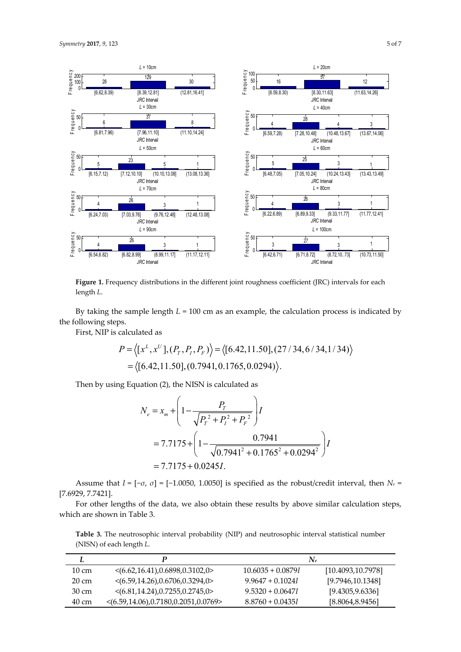

**Figure 1.** Frequency distributions in the different joint roughness coefficient (JRC) intervals for each length *L*.

By taking the sample length  $L = 100$  cm as an example, the calculation process is indicated by the following steps.

First, NIP is calculated as

$$
P = \langle [x^L, x^U], (P_T, P_I, P_F) \rangle = \langle [6.42, 11.50], (27/34, 6/34, 1/34) \rangle
$$
  
=  $\langle [6.42, 11.50], (0.7941, 0.1765, 0.0294) \rangle$ .

Then by using Equation (2), the NISN is calculated as

$$
N_e = x_m + \left(1 - \frac{P_T}{\sqrt{P_T^2 + P_I^2 + P_F^2}}\right)I
$$
  
= 7.7175 + \left(1 - \frac{0.7941}{\sqrt{0.7941^2 + 0.1765^2 + 0.0294^2}}\right)I  
= 7.7175 + 0.0245I.

Assume that  $I = [-\sigma, \sigma] = [-1.0050, 1.0050]$  is specified as the robust/credit interval, then  $N_e =$ [7.6929, 7.7421].

For other lengths of the data, we also obtain these results by above similar calculation steps, which are shown in Table 3.

**Table 3.** The neutrosophic interval probability (NIP) and neutrosophic interval statistical number (NISN) of each length *L.*

|                 |                                                         |                     | $N_e$              |
|-----------------|---------------------------------------------------------|---------------------|--------------------|
| $10 \text{ cm}$ | $\langle (6.62, 16.41), 0.6898, 0.3102, 0 \rangle$      | $10.6035 + 0.0879I$ | [10.4093, 10.7978] |
| 20 cm           | $\langle (6.59, 14.26), 0.6706, 0.3294, 0 \rangle$      | $9.9647 + 0.10241$  | [9.7946, 10.1348]  |
| 30 cm           | $\langle (6.81, 14.24), 0.7255, 0.2745, 0 \rangle$      | $9.5320 + 0.06471$  | [9.4305, 9.6336]   |
| 40 cm           | $\langle (6.59, 14.06), 0.7180, 0.2051, 0.0769 \rangle$ | $8.8760 + 0.0435I$  | [8.8064,8.9456]    |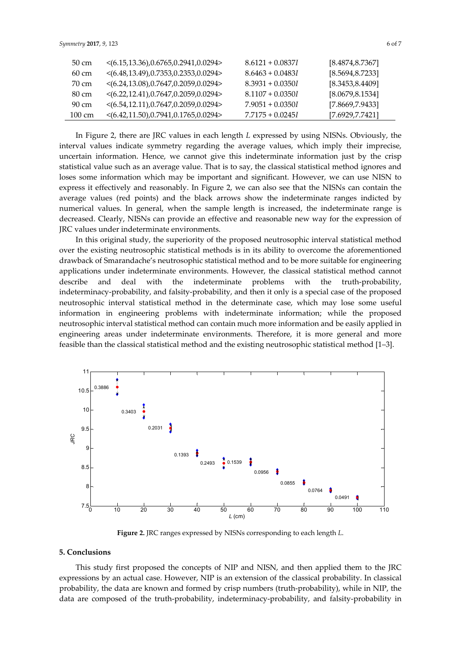| 50 cm            | $\langle (6.15, 13.36), 0.6765, 0.2941, 0.0294 \rangle$ | $8.6121 + 0.08371$ | [8.4874, 8.7367] |
|------------------|---------------------------------------------------------|--------------------|------------------|
| $60 \text{ cm}$  | $\langle (6.48, 13.49), 0.7353, 0.2353, 0.0294 \rangle$ | $8.6463 + 0.04831$ | [8.5694, 8.7233] |
| 70 cm            | $<(6.24, 13.08), 0.7647, 0.2059, 0.0294>$               | $8.3931 + 0.03501$ | [8.3453, 8.4409] |
| 80 cm            | $\langle (6.22, 12.41), 0.7647, 0.2059, 0.0294 \rangle$ | $8.1107 + 0.0350I$ | [8.0679, 8.1534] |
| 90 cm            | $\langle (6.54, 12.11), 0.7647, 0.2059, 0.0294 \rangle$ | $7.9051 + 0.03501$ | [7.8669, 7.9433] |
| $100 \text{ cm}$ | $\langle (6.42, 11.50), 0.7941, 0.1765, 0.0294 \rangle$ | $7.7175 + 0.02451$ | [7.6929, 7.7421] |

In Figure 2, there are JRC values in each length *L* expressed by using NISNs. Obviously, the interval values indicate symmetry regarding the average values, which imply their imprecise, uncertain information. Hence, we cannot give this indeterminate information just by the crisp statistical value such as an average value. That is to say, the classical statistical method ignores and loses some information which may be important and significant. However, we can use NISN to express it effectively and reasonably. In Figure 2, we can also see that the NISNs can contain the average values (red points) and the black arrows show the indeterminate ranges indicted by numerical values. In general, when the sample length is increased, the indeterminate range is decreased. Clearly, NISNs can provide an effective and reasonable new way for the expression of JRC values under indeterminate environments.

In this original study, the superiority of the proposed neutrosophic interval statistical method over the existing neutrosophic statistical methods is in its ability to overcome the aforementioned drawback of Smarandache's neutrosophic statistical method and to be more suitable for engineering applications under indeterminate environments. However, the classical statistical method cannot describe and deal with the indeterminate problems with the truth-probability, indeterminacy-probability, and falsity-probability, and then it only is a special case of the proposed neutrosophic interval statistical method in the determinate case, which may lose some useful information in engineering problems with indeterminate information; while the proposed neutrosophic interval statistical method can contain much more information and be easily applied in engineering areas under indeterminate environments. Therefore, it is more general and more feasible than the classical statistical method and the existing neutrosophic statistical method [1–3].



**Figure 2.** JRC ranges expressed by NISNs corresponding to each length *L*.

#### **5. Conclusions**

This study first proposed the concepts of NIP and NISN, and then applied them to the JRC expressions by an actual case. However, NIP is an extension of the classical probability. In classical probability, the data are known and formed by crisp numbers (truth-probability), while in NIP, the data are composed of the truth-probability, indeterminacy-probability, and falsity-probability in